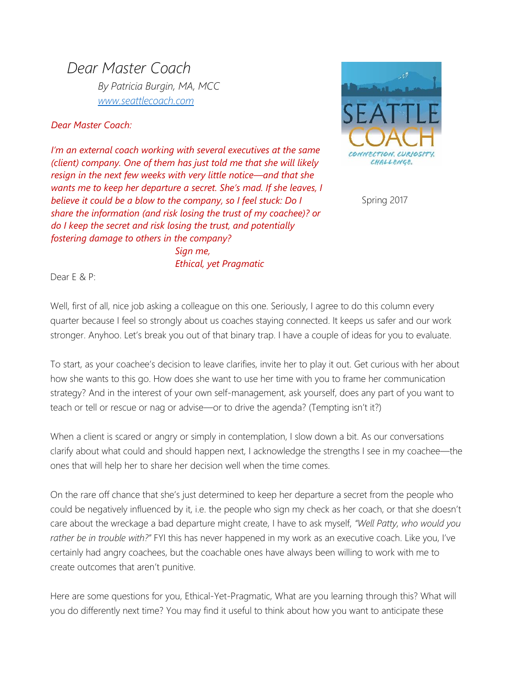*Dear Master Coach By Patricia Burgin, MA, MCC [www.seattlecoach.com](http://www.seattlecoach.com/)*

*Dear Master Coach:*

*I'm an external coach working with several executives at the same (client) company. One of them has just told me that she will likely resign in the next few weeks with very little notice—and that she wants me to keep her departure a secret. She's mad. If she leaves, I believe it could be a blow to the company, so I feel stuck: Do I share the information (and risk losing the trust of my coachee)? or do I keep the secret and risk losing the trust, and potentially fostering damage to others in the company? Sign me,*



Spring 2017

Dear E & P:

Well, first of all, nice job asking a colleague on this one. Seriously, I agree to do this column every quarter because I feel so strongly about us coaches staying connected. It keeps us safer and our work stronger. Anyhoo. Let's break you out of that binary trap. I have a couple of ideas for you to evaluate.

*Ethical, yet Pragmatic*

To start, as your coachee's decision to leave clarifies, invite her to play it out. Get curious with her about how she wants to this go. How does she want to use her time with you to frame her communication strategy? And in the interest of your own self-management, ask yourself, does any part of you want to teach or tell or rescue or nag or advise—or to drive the agenda? (Tempting isn't it?)

When a client is scared or angry or simply in contemplation, I slow down a bit. As our conversations clarify about what could and should happen next, I acknowledge the strengths I see in my coachee—the ones that will help her to share her decision well when the time comes.

On the rare off chance that she's just determined to keep her departure a secret from the people who could be negatively influenced by it, i.e. the people who sign my check as her coach, or that she doesn't care about the wreckage a bad departure might create, I have to ask myself, *"Well Patty, who would you rather be in trouble with?"* FYI this has never happened in my work as an executive coach. Like you, I've certainly had angry coachees, but the coachable ones have always been willing to work with me to create outcomes that aren't punitive.

Here are some questions for you, Ethical-Yet-Pragmatic, What are you learning through this? What will you do differently next time? You may find it useful to think about how you want to anticipate these